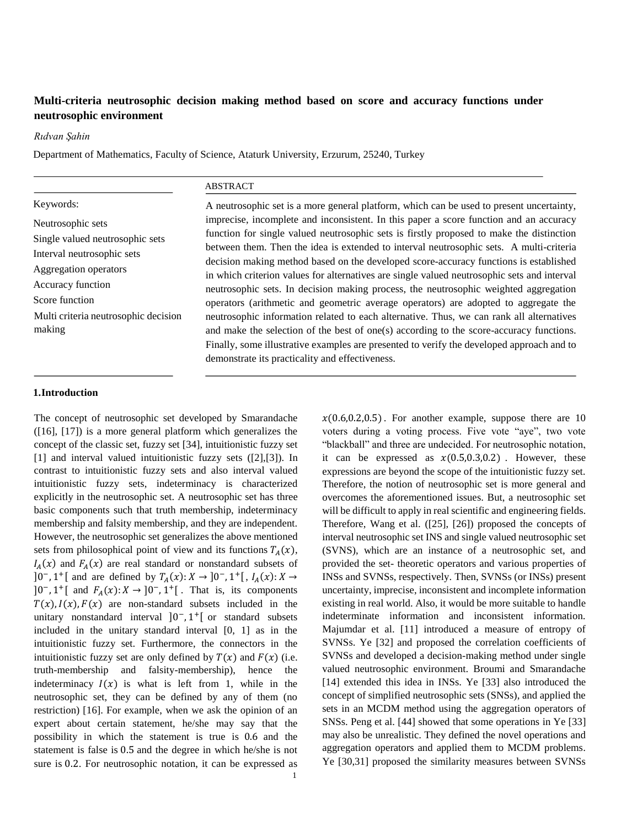# **Multi-criteria neutrosophic decision making method based on score and accuracy functions under neutrosophic environment**

*Rıdvan Şahin*

Department of Mathematics, Faculty of Science, Ataturk University, Erzurum, 25240, Turkey

|                                      | <b>ABSTRACT</b>                                                                                                                                                                                                                                                               |  |
|--------------------------------------|-------------------------------------------------------------------------------------------------------------------------------------------------------------------------------------------------------------------------------------------------------------------------------|--|
| Keywords:                            | A neutrosophic set is a more general platform, which can be used to present uncertainty,                                                                                                                                                                                      |  |
| Neutrosophic sets                    | imprecise, incomplete and inconsistent. In this paper a score function and an accuracy<br>function for single valued neutrosophic sets is firstly proposed to make the distinction<br>between them. Then the idea is extended to interval neutrosophic sets. A multi-criteria |  |
| Single valued neutrosophic sets      |                                                                                                                                                                                                                                                                               |  |
| Interval neutrosophic sets           |                                                                                                                                                                                                                                                                               |  |
| Aggregation operators                | decision making method based on the developed score-accuracy functions is established<br>in which criterion values for alternatives are single valued neutrosophic sets and interval                                                                                          |  |
| Accuracy function                    | neutrosophic sets. In decision making process, the neutrosophic weighted aggregation<br>operators (arithmetic and geometric average operators) are adopted to aggregate the                                                                                                   |  |
| Score function                       |                                                                                                                                                                                                                                                                               |  |
| Multi criteria neutrosophic decision | neutrosophic information related to each alternative. Thus, we can rank all alternatives                                                                                                                                                                                      |  |
| making                               | and make the selection of the best of one(s) according to the score-accuracy functions.                                                                                                                                                                                       |  |
|                                      | Finally, some illustrative examples are presented to verify the developed approach and to                                                                                                                                                                                     |  |

demonstrate its practicality and effectiveness.

# **1.Introduction**

The concept of neutrosophic set developed by Smarandache ([16], [17]) is a more general platform which generalizes the concept of the classic set, fuzzy set [34], intuitionistic fuzzy set [1] and interval valued intuitionistic fuzzy sets ([2],[3]). In contrast to intuitionistic fuzzy sets and also interval valued intuitionistic fuzzy sets, indeterminacy is characterized explicitly in the neutrosophic set. A neutrosophic set has three basic components such that truth membership, indeterminacy membership and falsity membership, and they are independent. However, the neutrosophic set generalizes the above mentioned sets from philosophical point of view and its functions  $T_A(x)$ ,  $I_A(x)$  and  $F_A(x)$  are real standard or nonstandard subsets of ]0<sup>-</sup>, 1<sup>+</sup>[ and are defined by  $T_A(x): X \to 0^-$ , 1<sup>+</sup>[,  $I_A(x): X \to 0^+$  $]0^-$ , 1<sup>+</sup>[ and  $F_A(x): X \to ]0^-$ , 1<sup>+</sup>[. That is, its components  $T(x)$ ,  $I(x)$ ,  $F(x)$  are non-standard subsets included in the unitary nonstandard interval  $]0^-$ ,  $1^+$ [ or standard subsets included in the unitary standard interval [0, 1] as in the intuitionistic fuzzy set. Furthermore, the connectors in the intuitionistic fuzzy set are only defined by  $T(x)$  and  $F(x)$  (i.e. truth-membership and falsity-membership), hence the indeterminacy  $I(x)$  is what is left from 1, while in the neutrosophic set, they can be defined by any of them (no restriction) [16]. For example, when we ask the opinion of an expert about certain statement, he/she may say that the possibility in which the statement is true is 0.6 and the statement is false is 0.5 and the degree in which he/she is not sure is 0.2. For neutrosophic notation, it can be expressed as

 $x(0.6, 0.2, 0.5)$ . For another example, suppose there are 10 voters during a voting process. Five vote "aye", two vote "blackball" and three are undecided. For neutrosophic notation, it can be expressed as  $x(0.5,0.3,0.2)$ . However, these expressions are beyond the scope of the intuitionistic fuzzy set. Therefore, the notion of neutrosophic set is more general and overcomes the aforementioned issues. But, a neutrosophic set will be difficult to apply in real scientific and engineering fields. Therefore, Wang et al. ([25], [26]) proposed the concepts of interval neutrosophic set INS and single valued neutrosophic set (SVNS), which are an instance of a neutrosophic set, and provided the set- theoretic operators and various properties of INSs and SVNSs, respectively. Then, SVNSs (or INSs) present uncertainty, imprecise, inconsistent and incomplete information existing in real world. Also, it would be more suitable to handle indeterminate information and inconsistent information. Majumdar et al. [11] introduced a measure of entropy of SVNSs. Ye [32] and proposed the correlation coefficients of SVNSs and developed a decision-making method under single valued neutrosophic environment. Broumi and Smarandache [14] extended this idea in INSs. Ye [33] also introduced the concept of simplified neutrosophic sets (SNSs), and applied the sets in an MCDM method using the aggregation operators of SNSs. Peng et al. [44] showed that some operations in Ye [33] may also be unrealistic. They defined the novel operations and aggregation operators and applied them to MCDM problems. Ye [30,31] proposed the similarity measures between SVNSs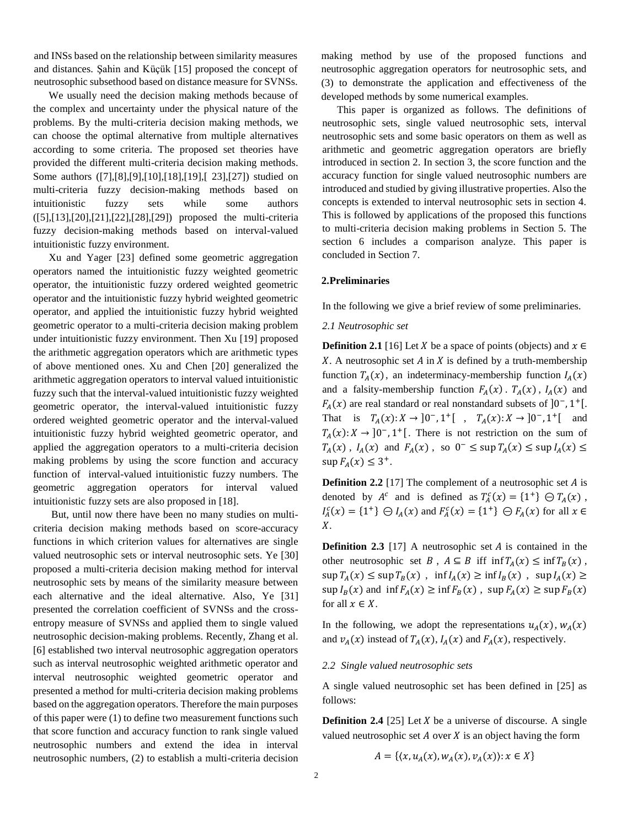and INSs based on the relationship between similarity measures and distances. Şahin and Küçük [15] proposed the concept of neutrosophic subsethood based on distance measure for SVNSs.

We usually need the decision making methods because of the complex and uncertainty under the physical nature of the problems. By the multi-criteria decision making methods, we can choose the optimal alternative from multiple alternatives according to some criteria. The proposed set theories have provided the different multi-criteria decision making methods. Some authors ([7],[8],[9],[10],[18],[19],[ 23],[27]) studied on multi-criteria fuzzy decision-making methods based on intuitionistic fuzzy sets while some authors ([5],[13],[20],[21],[22],[28],[29]) proposed the multi-criteria fuzzy decision-making methods based on interval-valued intuitionistic fuzzy environment.

Xu and Yager [23] defined some geometric aggregation operators named the intuitionistic fuzzy weighted geometric operator, the intuitionistic fuzzy ordered weighted geometric operator and the intuitionistic fuzzy hybrid weighted geometric operator, and applied the intuitionistic fuzzy hybrid weighted geometric operator to a multi-criteria decision making problem under intuitionistic fuzzy environment. Then Xu [19] proposed the arithmetic aggregation operators which are arithmetic types of above mentioned ones. Xu and Chen [20] generalized the arithmetic aggregation operators to interval valued intuitionistic fuzzy such that the interval-valued intuitionistic fuzzy weighted geometric operator, the interval-valued intuitionistic fuzzy ordered weighted geometric operator and the interval-valued intuitionistic fuzzy hybrid weighted geometric operator, and applied the aggregation operators to a multi-criteria decision making problems by using the score function and accuracy function of interval-valued intuitionistic fuzzy numbers. The geometric aggregation operators for interval valued intuitionistic fuzzy sets are also proposed in [18].

But, until now there have been no many studies on multicriteria decision making methods based on score-accuracy functions in which criterion values for alternatives are single valued neutrosophic sets or interval neutrosophic sets. Ye [30] proposed a multi-criteria decision making method for interval neutrosophic sets by means of the similarity measure between each alternative and the ideal alternative. Also, Ye [31] presented the correlation coefficient of SVNSs and the crossentropy measure of SVNSs and applied them to single valued neutrosophic decision-making problems. Recently, Zhang et al. [6] established two interval neutrosophic aggregation operators such as interval neutrosophic weighted arithmetic operator and interval neutrosophic weighted geometric operator and presented a method for multi-criteria decision making problems based on the aggregation operators. Therefore the main purposes of this paper were (1) to define two measurement functions such that score function and accuracy function to rank single valued neutrosophic numbers and extend the idea in interval neutrosophic numbers, (2) to establish a multi-criteria decision

making method by use of the proposed functions and neutrosophic aggregation operators for neutrosophic sets, and (3) to demonstrate the application and effectiveness of the developed methods by some numerical examples.

This paper is organized as follows. The definitions of neutrosophic sets, single valued neutrosophic sets, interval neutrosophic sets and some basic operators on them as well as arithmetic and geometric aggregation operators are briefly introduced in section 2. In section 3, the score function and the accuracy function for single valued neutrosophic numbers are introduced and studied by giving illustrative properties. Also the concepts is extended to interval neutrosophic sets in section 4. This is followed by applications of the proposed this functions to multi-criteria decision making problems in Section 5. The section 6 includes a comparison analyze. This paper is concluded in Section 7.

### **2.Preliminaries**

In the following we give a brief review of some preliminaries.

#### *2.1 Neutrosophic set*

**Definition 2.1** [16] Let X be a space of points (objects) and  $x \in$  $X$ . A neutrosophic set  $A$  in  $X$  is defined by a truth-membership function  $T_A(x)$ , an indeterminacy-membership function  $I_A(x)$ and a falsity-membership function  $F_A(x)$ .  $T_A(x)$ ,  $I_A(x)$  and  $F_A(x)$  are real standard or real nonstandard subsets of  $]0^-$ , 1<sup>+</sup>[. That is  $T_A(x): X \to [0^-, 1^+]$ ,  $T_A(x): X \to [0^-, 1^+]$  and  $T_A(x): X \to [0^-, 1^+]$ . There is not restriction on the sum of  $T_A(x)$ ,  $I_A(x)$  and  $F_A(x)$ , so  $0^- \leq \sup T_A(x) \leq \sup I_A(x) \leq$  $\sup F_A(x) \leq 3^+$ .

**Definition 2.2** [17] The complement of a neutrosophic set *A* is denoted by  $A^c$  and is defined as  $T_A^c(x) = \{1^+\} \oplus T_A(x)$ ,  $I_A^c(x) = \{1^+\} \oplus I_A(x)$  and  $F_A^c(x) = \{1^+\} \oplus F_A(x)$  for all  $x \in$  $X<sub>1</sub>$ 

**Definition 2.3** [17] A neutrosophic set  $A$  is contained in the other neutrosophic set  $B$ ,  $A \subseteq B$  iff inf  $T_A(x) \leq \inf T_B(x)$ ,  $\sup T_A(x) \leq \sup T_B(x)$ ,  $\inf I_A(x) \geq \inf I_B(x)$ ,  $\sup I_A(x) \geq$  $\sup I_B(x)$  and  $\inf F_A(x) \geq \inf F_B(x)$ ,  $\sup F_A(x) \geq \sup F_B(x)$ for all  $x \in X$ .

In the following, we adopt the representations  $u_A(x)$ ,  $w_A(x)$ and  $v_A(x)$  instead of  $T_A(x)$ ,  $I_A(x)$  and  $F_A(x)$ , respectively.

### *2.2 Single valued neutrosophic sets*

A single valued neutrosophic set has been defined in [25] as follows:

**Definition 2.4** [25] Let  $X$  be a universe of discourse. A single valued neutrosophic set  $A$  over  $X$  is an object having the form

$$
A = \{ (x, u_A(x), w_A(x), v_A(x)) : x \in X \}
$$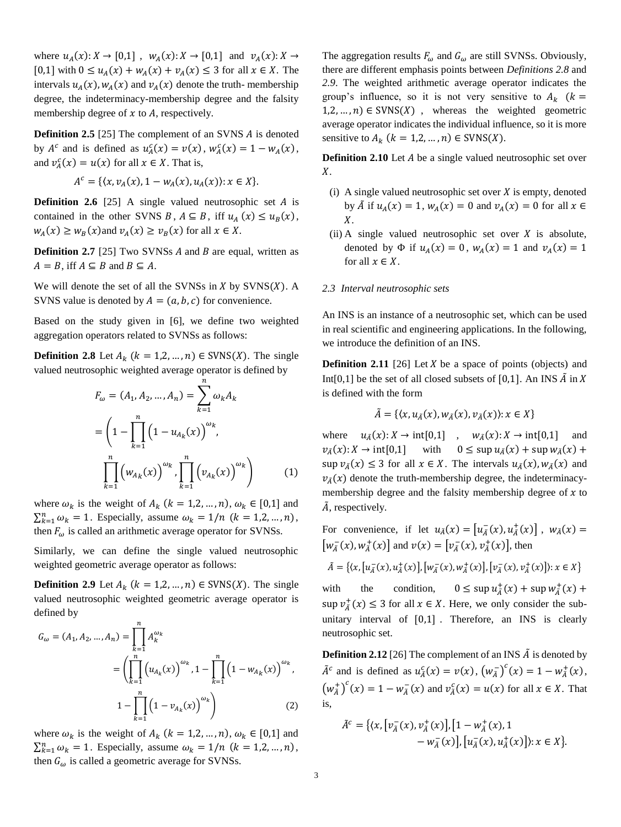where  $u_A(x): X \to [0,1]$ ,  $w_A(x): X \to [0,1]$  and  $v_A(x): X \to$ [0,1] with  $0 \le u_A(x) + w_A(x) + v_A(x) \le 3$  for all  $x \in X$ . The intervals  $u_A(x)$ ,  $w_A(x)$  and  $v_A(x)$  denote the truth-membership degree, the indeterminacy-membership degree and the falsity membership degree of  $x$  to  $A$ , respectively.

**Definition 2.5** [25] The complement of an SVNS *A* is denoted by  $A^c$  and is defined as  $u_A^c(x) = v(x)$ ,  $w_A^c(x) = 1 - w_A(x)$ , and  $v_A^c(x) = u(x)$  for all  $x \in X$ . That is,

$$
A^{c} = \{ \langle x, v_{A}(x), 1 - w_{A}(x), u_{A}(x) \rangle : x \in X \}.
$$

**Definition 2.6** [25] A single valued neutrosophic set *A* is contained in the other SVNS  $B, A \subseteq B$ , iff  $u_A(x) \le u_B(x)$ ,  $w_A(x) \ge w_B(x)$  and  $v_A(x) \ge v_B(x)$  for all  $x \in X$ .

**Definition 2.7** [25] Two SVNSs  $A$  and  $B$  are equal, written as  $A = B$ , iff  $A \subseteq B$  and  $B \subseteq A$ .

We will denote the set of all the SVNSs in  $X$  by SVNS $(X)$ . A SVNS value is denoted by  $A = (a, b, c)$  for convenience.

Based on the study given in [6], we define two weighted aggregation operators related to SVNSs as follows:

**Definition 2.8** Let  $A_k$  ( $k = 1, 2, ..., n$ )  $\in$  SVNS(*X*). The single valued neutrosophic weighted average operator is defined by

$$
F_{\omega} = (A_1, A_2, ..., A_n) = \sum_{k=1}^{n} \omega_k A_k
$$
  
=  $\left(1 - \prod_{k=1}^{n} (1 - u_{A_k}(x)) \right)^{\omega_k}$ ,  

$$
\prod_{k=1}^{n} (w_{A_k}(x))^{w_k} \prod_{k=1}^{n} (v_{A_k}(x))^{w_k}
$$
 (1)

where  $\omega_k$  is the weight of  $A_k$  ( $k = 1, 2, ..., n$ ),  $\omega_k \in [0,1]$  and  $\sum_{k=1}^{n} \omega_k = 1$ . Especially, assume  $\omega_k = 1/n$   $(k = 1, 2, ..., n)$ , then  $F_{\omega}$  is called an arithmetic average operator for SVNSs.

Similarly, we can define the single valued neutrosophic weighted geometric average operator as follows:

**Definition 2.9** Let  $A_k$  ( $k = 1, 2, ..., n$ )  $\in$  SVNS(X). The single valued neutrosophic weighted geometric average operator is defined by

$$
G_{\omega} = (A_1, A_2, ..., A_n) = \prod_{k=1}^{n} A_k^{\omega_k}
$$
  
= 
$$
\left(\prod_{k=1}^{n} (u_{A_k}(x))^{\omega_k}, 1 - \prod_{k=1}^{n} (1 - w_{A_k}(x))^{\omega_k}, 1 - \prod_{k=1}^{n} (1 - v_{A_k}(x))^{\omega_k}\right)
$$
 (2)

where  $\omega_k$  is the weight of  $A_k$  ( $k = 1, 2, ..., n$ ),  $\omega_k \in [0,1]$  and  $\sum_{k=1}^{n} \omega_k = 1$ . Especially, assume  $\omega_k = 1/n$   $(k = 1, 2, ..., n)$ , then  $G_{\omega}$  is called a geometric average for SVNSs.

The aggregation results  $F_{\omega}$  and  $G_{\omega}$  are still SVNSs. Obviously, there are different emphasis points between *Definitions 2.8* and *2.9*. The weighted arithmetic average operator indicates the group's influence, so it is not very sensitive to  $A_k$  ( $k =$  $1,2,...,n$   $\in$  SVNS(X), whereas the weighted geometric average operator indicates the individual influence, so it is more sensitive to  $A_k$   $(k = 1, 2, ..., n) \in \text{SVNS}(X)$ .

**Definition 2.10** Let *A* be a single valued neutrosophic set over  $X<sub>1</sub>$ 

- (i) A single valued neutrosophic set over  $X$  is empty, denoted by  $\tilde{A}$  if  $u_A(x) = 1$ ,  $w_A(x) = 0$  and  $v_A(x) = 0$  for all  $x \in$  $X_{\cdot}$
- (ii) A single valued neutrosophic set over  $X$  is absolute, denoted by  $\Phi$  if  $u_A(x) = 0$ ,  $w_A(x) = 1$  and  $v_A(x) = 1$ for all  $x \in X$ .

#### *2.3 Interval neutrosophic sets*

An INS is an instance of a neutrosophic set, which can be used in real scientific and engineering applications. In the following, we introduce the definition of an INS.

**Definition 2.11** [26] Let  $X$  be a space of points (objects) and Int[0,1] be the set of all closed subsets of [0,1]. An INS  $\tilde{A}$  in X is defined with the form

$$
\tilde{A} = \{ (x, u_{\tilde{A}}(x), w_{\tilde{A}}(x), v_{\tilde{A}}(x)) : x \in X \}
$$

where  $u_{\tilde{A}}(x): X \to \text{int}[0,1]$ ,  $w_{\tilde{A}}(x): X \to \text{int}[0,1]$  and  $v_{\tilde{A}}(x): X \to \text{int}[0,1]$  with  $0 \leq \sup u_{\tilde{A}}(x) + \sup w_{\tilde{A}}(x) +$ sup  $v_{\tilde{\Lambda}}(x) \leq 3$  for all  $x \in X$ . The intervals  $u_{\tilde{\Lambda}}(x), w_{\tilde{\Lambda}}(x)$  and  $v_{\tilde{A}}(x)$  denote the truth-membership degree, the indeterminacymembership degree and the falsity membership degree of  $x$  to  $\tilde{A}$ , respectively.

For convenience, if let  $u_{\tilde{A}}(x) = \left[ u_{\tilde{A}}(x), u_{\tilde{A}}^{+}(x) \right]$ ,  $w_{\tilde{A}}(x) =$  $\left[w_{\tilde{A}}^{-}(x), w_{\tilde{A}}^{+}(x)\right]$  and  $v(x) = \left[v_{\tilde{A}}^{-}(x), v_{\tilde{A}}^{+}(x)\right]$ , then  $\tilde{A} = \{ (x, [u_{\tilde{A}}^-(x), u_{\tilde{A}}^+(x)], [w_{\tilde{A}}^-(x), w_{\tilde{A}}^+(x)], [v_{\tilde{A}}^-(x), v_{\tilde{A}}^+(x)] \} : x \in X \}$ 

with the condition,  $0 \leq \sup u_{\tilde{A}}^+(x) + \sup w_{\tilde{A}}^+(x) +$  $\sup \nu_{\tilde{A}}^+(x) \leq 3$  for all  $x \in X$ . Here, we only consider the subunitary interval of [0,1] . Therefore, an INS is clearly neutrosophic set.

**Definition 2.12** [26] The complement of an INS  $\tilde{A}$  is denoted by  $ilde{A}^c$  and is defined as  $u_{\hat{A}}^c(x) = v(x), (w_{\hat{A}}^c)^c(x) = 1 - w_{\hat{A}}^+(x)$ ,  $(w_{\tilde{A}}^+)^c(x) = 1 - w_{\tilde{A}}^-(x)$  and  $v_{\tilde{A}}^c(x) = u(x)$  for all  $x \in X$ . That is,

$$
\tilde{A}^c = \{ (x, [v_A^-(x), v_A^+(x)], [1 - w_A^+(x), 1 - w_A^-(x)], [u_A^-(x), u_A^+(x)] \}; x \in X \}.
$$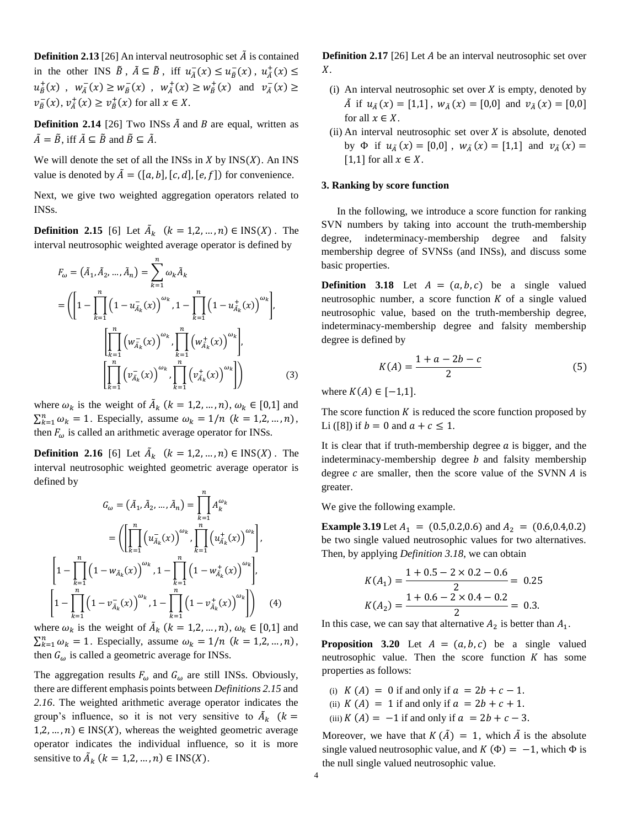**Definition 2.13** [26] An interval neutrosophic set  $\tilde{A}$  is contained in the other INS  $\tilde{B}$ ,  $\tilde{A} \subseteq \tilde{B}$ , iff  $u_{\tilde{A}}^-(x) \le u_{\tilde{B}}^-(x)$ ,  $u_{\tilde{A}}^+(x) \le$  $u_{\tilde{B}}^{+}(x)$ ,  $w_{\tilde{A}}^{-}(x) \ge w_{\tilde{B}}^{-}(x)$ ,  $w_{\tilde{A}}^{+}(x) \ge w_{\tilde{B}}^{+}(x)$  and  $v_{\tilde{A}}^{-}(x) \ge w_{\tilde{B}}^{-}(x)$  $v_{\tilde{B}}^-(x)$ ,  $v_{\tilde{A}}^+(x) \ge v_{\tilde{B}}^+(x)$  for all  $x \in X$ .

**Definition 2.14** [26] Two INSs  $\tilde{A}$  and  $B$  are equal, written as  $ilde{A} = \tilde{B}$ , iff  $ilde{A} \subseteq \tilde{B}$  and  $\tilde{B} \subseteq \tilde{A}$ .

We will denote the set of all the INSs in  $X$  by  $INS(X)$ . An INS value is denoted by  $\tilde{A} = (\lbrack a, b \rbrack, \lbrack c, d \rbrack, \lbrack e, f \rbrack)$  for convenience.

Next, we give two weighted aggregation operators related to INSs.

**Definition 2.15** [6] Let  $\tilde{A}_k$   $(k = 1, 2, ..., n) \in \text{INS}(X)$ . The interval neutrosophic weighted average operator is defined by

$$
F_{\omega} = (\tilde{A}_{1}, \tilde{A}_{2}, ..., \tilde{A}_{n}) = \sum_{k=1}^{n} \omega_{k} \tilde{A}_{k}
$$
  
=  $\left( \left[ 1 - \prod_{k=1}^{n} \left( 1 - u_{\tilde{A}_{k}}^{-}(x) \right)^{\omega_{k}}, 1 - \prod_{k=1}^{n} \left( 1 - u_{\tilde{A}_{k}}^{+}(x) \right)^{\omega_{k}} \right],$   

$$
\left[ \prod_{k=1}^{n} \left( w_{\tilde{A}_{k}}^{-}(x) \right)^{\omega_{k}}, \prod_{k=1}^{n} \left( w_{\tilde{A}_{k}}^{+}(x) \right)^{\omega_{k}} \right],
$$
  

$$
\left[ \prod_{k=1}^{n} \left( v_{\tilde{A}_{k}}^{-}(x) \right)^{\omega_{k}}, \prod_{k=1}^{n} \left( v_{\tilde{A}_{k}}^{+}(x) \right)^{\omega_{k}} \right] \right)
$$
(3)

where  $\omega_k$  is the weight of  $\tilde{A}_k$  ( $k = 1, 2, ..., n$ ),  $\omega_k \in [0, 1]$  and  $\sum_{k=1}^{n} \omega_k = 1$ . Especially, assume  $\omega_k = 1/n$   $(k = 1, 2, ..., n)$ , then  $F_{\omega}$  is called an arithmetic average operator for INSs.

**Definition 2.16** [6] Let  $\tilde{A}_k$   $(k = 1, 2, ..., n) \in \text{INS}(X)$ . The interval neutrosophic weighted geometric average operator is defined by

$$
G_{\omega} = (\tilde{A}_{1}, \tilde{A}_{2}, ..., \tilde{A}_{n}) = \prod_{k=1}^{n} A_{k}^{\omega_{k}}
$$

$$
= \left( \left[ \prod_{k=1}^{n} \left( u_{\tilde{A}_{k}}(x) \right)^{\omega_{k}}, \prod_{k=1}^{n} \left( u_{\tilde{A}_{k}}^{+}(x) \right)^{\omega_{k}} \right],
$$

$$
\left[ 1 - \prod_{k=1}^{n} \left( 1 - w_{\tilde{A}_{k}}(x) \right)^{\omega_{k}}, 1 - \prod_{k=1}^{n} \left( 1 - w_{\tilde{A}_{k}}^{+}(x) \right)^{\omega_{k}} \right],
$$

$$
\left[ 1 - \prod_{k=1}^{n} \left( 1 - v_{\tilde{A}_{k}}^{-}(x) \right)^{\omega_{k}}, 1 - \prod_{k=1}^{n} \left( 1 - v_{\tilde{A}_{k}}^{+}(x) \right)^{\omega_{k}} \right] \right) \quad (4)
$$

where  $\omega_k$  is the weight of  $\tilde{A}_k$  ( $k = 1, 2, ..., n$ ),  $\omega_k \in [0, 1]$  and  $\sum_{k=1}^{n} \omega_k = 1$ . Especially, assume  $\omega_k = 1/n$   $(k = 1, 2, ..., n)$ , then  $G_{\omega}$  is called a geometric average for INSs.

The aggregation results  $F_{\omega}$  and  $G_{\omega}$  are still INSs. Obviously, there are different emphasis points between *Definitions 2.15* and *2.16*. The weighted arithmetic average operator indicates the group's influence, so it is not very sensitive to  $\tilde{A}_k$  ( $k =$  $1, 2, ..., n$ )  $\in$  INS(X), whereas the weighted geometric average operator indicates the individual influence, so it is more sensitive to  $\tilde{A}_k$   $(k = 1, 2, ..., n) \in \text{INS}(X)$ .

**Definition 2.17** [26] Let A be an interval neutrosophic set over  $X$ .

- (i) An interval neutrosophic set over  $X$  is empty, denoted by  $\tilde{A}$  if  $u_{\tilde{A}}(x) = [1,1], w_{\tilde{A}}(x) = [0,0]$  and  $v_{\tilde{A}}(x) = [0,0]$ for all  $x \in X$ .
- (ii) An interval neutrosophic set over  $X$  is absolute, denoted by  $\Phi$  if  $u_{\tilde{A}}(x) = [0,0]$ ,  $w_{\tilde{A}}(x) = [1,1]$  and  $v_{\tilde{A}}(x) =$ [1,1] for all  $x \in X$ .

#### **3. Ranking by score function**

In the following, we introduce a score function for ranking SVN numbers by taking into account the truth-membership degree, indeterminacy-membership degree and falsity membership degree of SVNSs (and INSs), and discuss some basic properties.

**Definition 3.18** Let  $A = (a, b, c)$  be a single valued neutrosophic number, a score function  $K$  of a single valued neutrosophic value, based on the truth-membership degree, indeterminacy-membership degree and falsity membership degree is defined by

$$
K(A) = \frac{1 + a - 2b - c}{2}
$$
 (5)

where  $K(A) \in [-1,1]$ .

The score function  $K$  is reduced the score function proposed by Li ([8]) if  $b = 0$  and  $a + c \le 1$ .

It is clear that if truth-membership degree  $a$  is bigger, and the indeterminacy-membership degree  $b$  and falsity membership degree  $c$  are smaller, then the score value of the SVNN  $\vec{A}$  is greater.

We give the following example.

**Example 3.19** Let  $A_1 = (0.5, 0.2, 0.6)$  and  $A_2 = (0.6, 0.4, 0.2)$ be two single valued neutrosophic values for two alternatives. Then, by applying *Definition 3.18*, we can obtain

$$
K(A_1) = \frac{1 + 0.5 - 2 \times 0.2 - 0.6}{2} = 0.25
$$
  

$$
K(A_2) = \frac{1 + 0.6 - 2 \times 0.4 - 0.2}{2} = 0.3.
$$

In this case, we can say that alternative  $A_2$  is better than  $A_1$ .

**Proposition 3.20** Let  $A = (a, b, c)$  be a single valued neutrosophic value. Then the score function  $K$  has some properties as follows:

(i)  $K(A) = 0$  if and only if  $a = 2b + c - 1$ . (ii)  $K(A) = 1$  if and only if  $a = 2b + c + 1$ . (iii)  $K(A) = -1$  if and only if  $a = 2b + c - 3$ .

Moreover, we have that  $K(\tilde{A}) = 1$ , which  $\tilde{A}$  is the absolute single valued neutrosophic value, and  $K(\Phi) = -1$ , which  $\Phi$  is the null single valued neutrosophic value.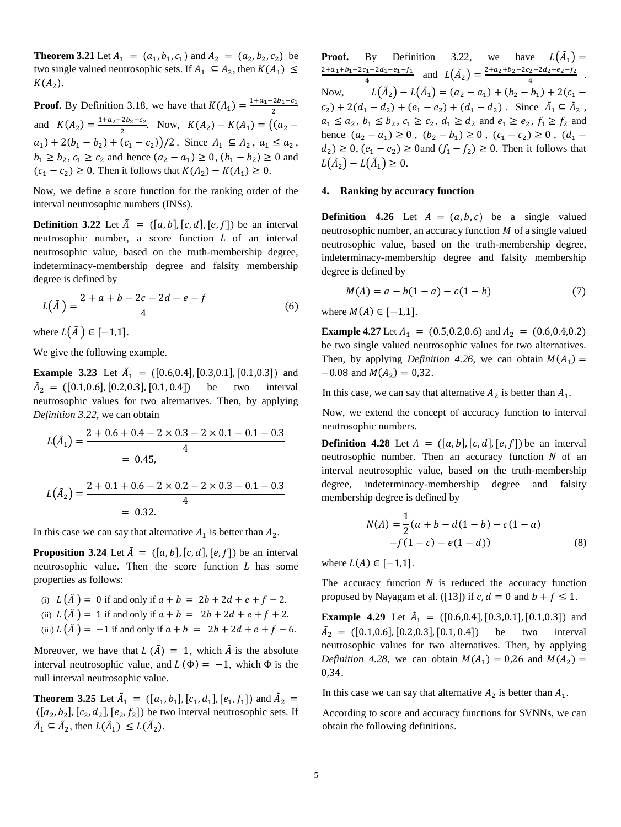**Theorem 3.21** Let  $A_1 = (a_1, b_1, c_1)$  and  $A_2 = (a_2, b_2, c_2)$  be two single valued neutrosophic sets. If  $A_1 \subseteq A_2$ , then  $K(A_1) \subseteq$  $K(A_2)$ .

**Proof.** By Definition 3.18, we have that  $K(A_1) = \frac{1 + a_1 - 2b_1 - c_1}{2}$ 2 and  $K(A_2) = \frac{1+a_2-2b_2-c_2}{2}$  $\frac{Z_{2}Z_{2}-Z_{2}}{2}$ . Now,  $K(A_{2})-K(A_{1}) = ((a_{2}$  $a_1$ ) + 2( $b_1 - b_2$ ) + ( $c_1 - c_2$ ))/2. Since  $A_1 \subseteq A_2$ ,  $a_1 \le a_2$ ,  $b_1 \ge b_2$ ,  $c_1 \ge c_2$  and hence  $(a_2 - a_1) \ge 0$ ,  $(b_1 - b_2) \ge 0$  and  $(c_1 - c_2)$  ≥ 0. Then it follows that  $K(A_2) - K(A_1)$  ≥ 0.

Now, we define a score function for the ranking order of the interval neutrosophic numbers (INSs).

**Definition 3.22** Let  $\tilde{A} = (\lbrack a, b \rbrack, \lbrack c, d \rbrack, \lbrack e, f \rbrack)$  be an interval neutrosophic number, a score function  $L$  of an interval neutrosophic value, based on the truth-membership degree, indeterminacy-membership degree and falsity membership degree is defined by

$$
L(\tilde{A}) = \frac{2 + a + b - 2c - 2d - e - f}{4}
$$
 (6)

where  $L(\tilde{A}) \in [-1,1]$ .

We give the following example.

**Example 3.23** Let  $\tilde{A}_1 = ([0.6, 0.4], [0.3, 0.1], [0.1, 0.3])$  and  $\tilde{A}_2 = ([0.1, 0.6], [0.2, 0.3], [0.1, 0.4])$  be two interval neutrosophic values for two alternatives. Then, by applying *Definition 3.22*, we can obtain

$$
L(\tilde{A}_1) = \frac{2 + 0.6 + 0.4 - 2 \times 0.3 - 2 \times 0.1 - 0.1 - 0.3}{4}
$$
  
= 0.45,  

$$
L(\tilde{A}_2) = \frac{2 + 0.1 + 0.6 - 2 \times 0.2 - 2 \times 0.3 - 0.1 - 0.3}{4}
$$
  
= 0.32.

In this case we can say that alternative  $A_1$  is better than  $A_2$ .

**Proposition 3.24** Let  $\tilde{A} = ([a, b], [c, d], [e, f])$  be an interval neutrosophic value. Then the score function  $L$  has some properties as follows:

(i) 
$$
L(\tilde{A}) = 0
$$
 if and only if  $a + b = 2b + 2d + e + f - 2$ .  
\n(ii)  $L(\tilde{A}) = 1$  if and only if  $a + b = 2b + 2d + e + f + 2$ .  
\n(iii)  $L(\tilde{A}) = -1$  if and only if  $a + b = 2b + 2d + e + f - 6$ .

Moreover, we have that  $L(\tilde{A}) = 1$ , which  $\tilde{A}$  is the absolute interval neutrosophic value, and  $L(\Phi) = -1$ , which  $\Phi$  is the null interval neutrosophic value.

**Theorem 3.25** Let  $\tilde{A}_1 = ([a_1, b_1], [c_1, d_1], [e_1, f_1])$  and  $\tilde{A}_2 =$  $([a_2, b_2], [c_2, d_2], [e_2, f_2])$  be two interval neutrosophic sets. If  $\tilde{A}_1 \subseteq \tilde{A}_2$ , then  $L(\tilde{A}_1) \le L(\tilde{A}_2)$ .

**Proof.** By Definition 3.22, we have  $L(\tilde{A}_1) =$  $2+a_1+b_1-2c_1-2d_1-e_1-f_1$  $\frac{c_1 - 2d_1 - e_1 - f_1}{4}$  and  $L(\tilde{A}_2) = \frac{2 + a_2 + b_2 - 2c_2 - 2d_2 - e_2 - f_2}{4}$  $\frac{2^{2-2u_2-e_2-1/2}}{4}$ . Now,  $(a_2) - L(\tilde{A}_1) = (a_2 - a_1) + (b_2 - b_1) + 2(c_1 - b_2)$  $c_2$ ) + 2(d<sub>1</sub> - d<sub>2</sub>) + (e<sub>1</sub> - e<sub>2</sub>) + (d<sub>1</sub> - d<sub>2</sub>). Since  $\tilde{A}_1 \subseteq \tilde{A}_2$ ,  $a_1 \le a_2, b_1 \le b_2, c_1 \ge c_2, d_1 \ge d_2$  and  $e_1 \ge e_2, f_1 \ge f_2$  and hence  $(a_2 - a_1) \ge 0$ ,  $(b_2 - b_1) \ge 0$ ,  $(c_1 - c_2) \ge 0$ ,  $(d_1$  $d_2 \geq 0$ ,  $(e_1 - e_2) \geq 0$  and  $(f_1 - f_2) \geq 0$ . Then it follows that  $L(\tilde{A}_2) - L(\tilde{A}_1) \geq 0.$ 

# **4. Ranking by accuracy function**

**Definition 4.26** Let  $A = (a, b, c)$  be a single valued neutrosophic number, an accuracy function  $M$  of a single valued neutrosophic value, based on the truth-membership degree, indeterminacy-membership degree and falsity membership degree is defined by

$$
M(A) = a - b(1 - a) - c(1 - b)
$$
 (7)

where  $M(A) \in [-1,1]$ .

**Example 4.27** Let  $A_1 = (0.5, 0.2, 0.6)$  and  $A_2 = (0.6, 0.4, 0.2)$ be two single valued neutrosophic values for two alternatives. Then, by applying *Definition 4.26*, we can obtain  $M(A_1)$  =  $-0.08$  and  $M(A_2) = 0.32$ .

In this case, we can say that alternative  $A_2$  is better than  $A_1$ .

Now, we extend the concept of accuracy function to interval neutrosophic numbers.

**Definition 4.28** Let  $A = (\lceil a, b \rceil, \lceil c, d \rceil, \lceil e, f \rceil)$  be an interval neutrosophic number. Then an accuracy function  $N$  of an interval neutrosophic value, based on the truth-membership degree, indeterminacy-membership degree and falsity membership degree is defined by

$$
N(A) = \frac{1}{2}(a+b-d(1-b)-c(1-a) -f(1-c)-e(1-d))
$$
\n(8)

where  $L(A) \in [-1,1]$ .

The accuracy function  $N$  is reduced the accuracy function proposed by Nayagam et al. ([13]) if  $c, d = 0$  and  $b + f \le 1$ .

**Example 4.29** Let  $\tilde{A}_1 = ([0.6, 0.4], [0.3, 0.1], [0.1, 0.3])$  and  $\tilde{A}_2 = ([0.1, 0.6], [0.2, 0.3], [0.1, 0.4])$  be two interval neutrosophic values for two alternatives. Then, by applying *Definition 4.28*, we can obtain  $M(A_1) = 0.26$  and  $M(A_2) =$ 0,34.

In this case we can say that alternative  $A_2$  is better than  $A_1$ .

According to score and accuracy functions for SVNNs, we can obtain the following definitions.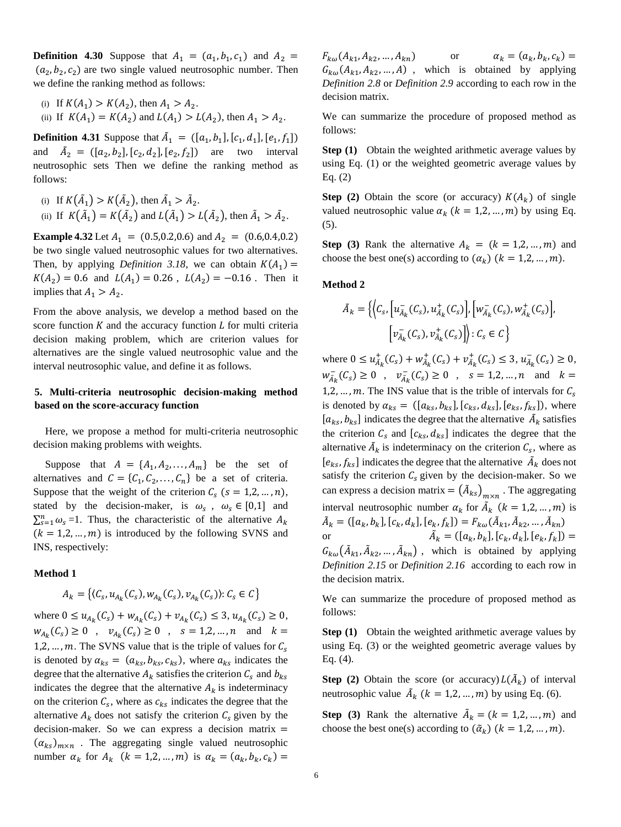**Definition 4.30** Suppose that  $A_1 = (a_1, b_1, c_1)$  and  $A_2 =$  $(a_2, b_2, c_2)$  are two single valued neutrosophic number. Then we define the ranking method as follows:

\n- (i) If 
$$
K(A_1) > K(A_2)
$$
, then  $A_1 > A_2$ .
\n- (ii) If  $K(A_1) = K(A_2)$  and  $L(A_1) > L(A_2)$ , then  $A_1 > A_2$ .
\n

**Definition 4.31** Suppose that  $\tilde{A}_1 = ([a_1, b_1], [c_1, d_1], [e_1, f_1])$ and  $\tilde{A}_2 = ([a_2, b_2], [c_2, d_2], [e_2, f_2])$  are two interval neutrosophic sets Then we define the ranking method as follows:

\n- (i) If 
$$
K(\tilde{A}_1) > K(\tilde{A}_2)
$$
, then  $\tilde{A}_1 > \tilde{A}_2$ .
\n- (ii) If  $K(\tilde{A}_1) = K(\tilde{A}_2)$  and  $L(\tilde{A}_1) > L(\tilde{A}_2)$ , then  $\tilde{A}_1 > \tilde{A}_2$ .
\n

**Example 4.32** Let  $A_1 = (0.5, 0.2, 0.6)$  and  $A_2 = (0.6, 0.4, 0.2)$ be two single valued neutrosophic values for two alternatives. Then, by applying *Definition* 3.18, we can obtain  $K(A_1)$  =  $K(A_2) = 0.6$  and  $L(A_1) = 0.26$ ,  $L(A_2) = -0.16$ . Then it implies that  $A_1 > A_2$ .

From the above analysis, we develop a method based on the score function  $K$  and the accuracy function  $L$  for multi criteria decision making problem, which are criterion values for alternatives are the single valued neutrosophic value and the interval neutrosophic value, and define it as follows.

# **5. Multi-criteria neutrosophic decision-making method based on the score-accuracy function**

Here, we propose a method for multi-criteria neutrosophic decision making problems with weights.

Suppose that  $A = \{A_1, A_2, \dots, A_m\}$  be the set of alternatives and  $C = \{C_1, C_2, ..., C_n\}$  be a set of criteria. Suppose that the weight of the criterion  $C_s$  ( $s = 1, 2, ..., n$ ), stated by the decision-maker, is  $\omega_s$ ,  $\omega_s \in [0,1]$  and  $\sum_{s=1}^{n} \omega_s = 1$ . Thus, the characteristic of the alternative  $A_k$  $(k = 1, 2, ..., m)$  is introduced by the following SVNS and INS, respectively:

## **Method 1**

$$
A_k = \{ (C_s, u_{A_k}(C_s), w_{A_k}(C_s), v_{A_k}(C_s)) : C_s \in C \}
$$

where  $0 \le u_{A_k}(C_s) + w_{A_k}(C_s) + v_{A_k}(C_s) \le 3, u_{A_k}(C_s) \ge 0$ ,  $w_{A_k}(C_s) \ge 0$ ,  $v_{A_k}(C_s) \ge 0$ ,  $s = 1,2,...,n$  and  $k =$ 1,2, ..., m. The SVNS value that is the triple of values for  $C_s$ is denoted by  $\alpha_{ks} = (a_{ks}, b_{ks}, c_{ks})$ , where  $a_{ks}$  indicates the degree that the alternative  $A_k$  satisfies the criterion  $C_s$  and  $b_{ks}$ indicates the degree that the alternative  $A_k$  is indeterminacy on the criterion  $C_s$ , where as  $c_{ks}$  indicates the degree that the alternative  $A_k$  does not satisfy the criterion  $C_s$  given by the decision-maker. So we can express a decision matrix  $=$  $(\alpha_{ks})_{m \times n}$ . The aggregating single valued neutrosophic number  $\alpha_k$  for  $A_k$   $(k = 1, 2, ..., m)$  is  $\alpha_k = (\alpha_k, b_k, c_k)$ 

 $F_{k\omega}(A_{k1}, A_{k2})$ , ...,  $A_{kn}$  or  $\alpha_k = (a_k, b_k, c_k) =$  $G_{k\omega}(A_{k1}, A_{k2},..., A)$ , which is obtained by applying *Definition 2.8* or *Definition 2.9* according to each row in the decision matrix.

We can summarize the procedure of proposed method as follows:

**Step (1)** Obtain the weighted arithmetic average values by using Eq. (1) or the weighted geometric average values by Eq. (2)

**Step (2)** Obtain the score (or accuracy)  $K(A_k)$  of single valued neutrosophic value  $\alpha_k$  ( $k = 1, 2, ..., m$ ) by using Eq. (5).

**Step (3)** Rank the alternative  $A_k = (k = 1, 2, ..., m)$  and choose the best one(s) according to  $(\alpha_k)$  ( $k = 1,2, ..., m$ ).

## **Method 2**

$$
\tilde{A}_k = \left\{ \left\langle C_s, \left[ u_{\tilde{A}_k}^-(C_s), u_{\tilde{A}_k}^+(C_s) \right], \left[ w_{\tilde{A}_k}^-(C_s), w_{\tilde{A}_k}^+(C_s) \right], \right. \\ \left. \left[ v_{\tilde{A}_k}^-(C_s), v_{\tilde{A}_k}^+(C_s) \right] \right\} : C_s \in \mathcal{C} \right\}
$$

where  $0 \le u_{\tilde{A}_k}^+(C_s) + w_{\tilde{A}_k}^+(C_s) + v_{\tilde{A}_k}^+(C_s) \le 3, u_{\tilde{A}_k}^-(C_s) \ge 0,$  $w_{A_k}^-(C_s) \ge 0$ ,  $v_{A_k}^-(C_s) \ge 0$ ,  $s = 1,2,...,n$  and  $k =$ 1,2, ..., m. The INS value that is the trible of intervals for  $C_s$ is denoted by  $\alpha_{ks} = ([a_{ks}, b_{ks}], [c_{ks}, d_{ks}], [e_{ks}, f_{ks}]),$  where  $[a_{ks}, b_{ks}]$  indicates the degree that the alternative  $\tilde{A}_k$  satisfies the criterion  $C_s$  and  $[c_{ks}, d_{ks}]$  indicates the degree that the alternative  $\tilde{A}_k$  is indeterminacy on the criterion  $C_s$ , where as  $[e_{ks}, f_{ks}]$  indicates the degree that the alternative  $\tilde{A}_k$  does not satisfy the criterion  $C_s$  given by the decision-maker. So we can express a decision matrix =  $(\tilde{A}_{ks})_{m \times n}$ . The aggregating interval neutrosophic number  $\alpha_k$  for  $\tilde{A}_k$  ( $k = 1, 2, ..., m$ ) is  $\tilde{A}_k = ([a_k, b_k], [c_k, d_k], [e_k, f_k]) = F_{k\omega}(\tilde{A}_{k1}, \tilde{A}_{k2}, \dots, \tilde{A}_{kn})$ or  $\tilde{A}$  $\mathbf{b}_k = ([a_k, b_k], [c_k, d_k], [e_k, f_k]) =$  $G_{k\omega}(\tilde{A}_{k1}, \tilde{A}_{k2}, \dots, \tilde{A}_{kn})$ , which is obtained by applying *Definition 2.15* or *Definition 2.16* according to each row in the decision matrix.

We can summarize the procedure of proposed method as follows:

**Step (1)** Obtain the weighted arithmetic average values by using Eq. (3) or the weighted geometric average values by Eq. (4).

**Step (2)** Obtain the score (or accuracy)  $L(\tilde{A}_k)$  of interval neutrosophic value  $\tilde{A}_k$  ( $k = 1, 2, ..., m$ ) by using Eq. (6).

**Step** (3) Rank the alternative  $\tilde{A}_k = (k = 1, 2, ..., m)$  and choose the best one(s) according to  $(\tilde{\alpha}_k)$   $(k = 1, 2, ..., m)$ .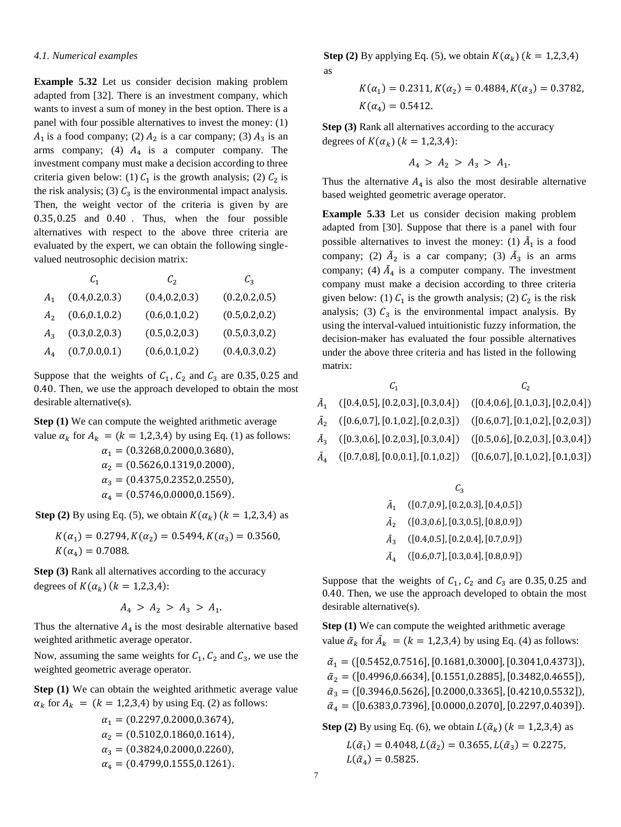## *4.1. Numerical examples*

**Example 5.32** Let us consider decision making problem adapted from [32]. There is an investment company, which wants to invest a sum of money in the best option. There is a panel with four possible alternatives to invest the money: (1)  $A_1$  is a food company; (2)  $A_2$  is a car company; (3)  $A_3$  is an arms company; (4)  $A_4$  is a computer company. The investment company must make a decision according to three criteria given below: (1)  $C_1$  is the growth analysis; (2)  $C_2$  is the risk analysis; (3)  $C_3$  is the environmental impact analysis. Then, the weight vector of the criteria is given by are 0.35, 0.25 and 0.40 . Thus, when the four possible alternatives with respect to the above three criteria are evaluated by the expert, we can obtain the following singlevalued neutrosophic decision matrix:

|                | $C_{1}$         | $\mathcal{C}_2$ | $\mathcal{C}_3$ |
|----------------|-----------------|-----------------|-----------------|
| $A_{1}$        | (0.4, 0.2, 0.3) | (0.4, 0.2, 0.3) | (0.2, 0.2, 0.5) |
| A <sub>2</sub> | (0.6, 0.1, 0.2) | (0.6, 0.1, 0.2) | (0.5, 0.2, 0.2) |
| $A_{3}$        | (0.3, 0.2, 0.3) | (0.5, 0.2, 0.3) | (0.5, 0.3, 0.2) |
| $A_4$          | (0.7, 0.0, 0.1) | (0.6, 0.1, 0.2) | (0.4, 0.3, 0.2) |

Suppose that the weights of  $C_1$ ,  $C_2$  and  $C_3$  are 0.35, 0.25 and 0.40. Then, we use the approach developed to obtain the most desirable alternative(s).

**Step (1)** We can compute the weighted arithmetic average value  $\alpha_k$  for  $A_k = (k = 1,2,3,4)$  by using Eq. (1) as follows:

 $\alpha_1 = (0.3268, 0.2000, 0.3680),$  $\alpha_2 = (0.5626, 0.1319, 0.2000),$  $\alpha_3 = (0.4375, 0.2352, 0.2550),$  $\alpha_4 = (0.5746, 0.0000, 0.1569).$ 

**Step (2)** By using Eq. (5), we obtain  $K(\alpha_k)$  ( $k = 1,2,3,4$ ) as

 $K(\alpha_1) = 0.2794, K(\alpha_2) = 0.5494, K(\alpha_3) = 0.3560,$  $K(\alpha_4) = 0.7088.$ 

**Step (3)** Rank all alternatives according to the accuracy degrees of  $K(\alpha_k)$  ( $k = 1,2,3,4$ ):

$$
A_4 > A_2 > A_3 > A_1.
$$

Thus the alternative  $A_4$  is the most desirable alternative based weighted arithmetic average operator.

Now, assuming the same weights for  $C_1$ ,  $C_2$  and  $C_3$ , we use the weighted geometric average operator.

**Step (1)** We can obtain the weighted arithmetic average value  $\alpha_k$  for  $A_k = (k = 1,2,3,4)$  by using Eq. (2) as follows:

$$
\alpha_1 = (0.2297, 0.2000, 0.3674),
$$
\n
$$
\alpha_2 = (0.5102, 0.1860, 0.1614),
$$
\n
$$
\alpha_3 = (0.3824, 0.2000, 0.2260),
$$
\n
$$
\alpha_4 = (0.4799, 0.1555, 0.1261).
$$

**Step (2)** By applying Eq. (5), we obtain  $K(\alpha_k)$  ( $k = 1,2,3,4$ ) as

$$
K(\alpha_1) = 0.2311, K(\alpha_2) = 0.4884, K(\alpha_3) = 0.3782,
$$
  

$$
K(\alpha_4) = 0.5412.
$$

**Step (3)** Rank all alternatives according to the accuracy degrees of  $K(\alpha_k)$  ( $k = 1,2,3,4$ ):

$$
A_4 \, > \, A_2 \, > \, A_3 \, > \, A_1.
$$

Thus the alternative  $A_4$  is also the most desirable alternative based weighted geometric average operator.

**Example 5.33** Let us consider decision making problem adapted from [30]. Suppose that there is a panel with four possible alternatives to invest the money: (1)  $\tilde{A}_1$  is a food company; (2)  $\tilde{A}_2$  is a car company; (3)  $\tilde{A}_3$  is an arms company; (4)  $\tilde{A}_4$  is a computer company. The investment company must make a decision according to three criteria given below: (1)  $C_1$  is the growth analysis; (2)  $C_2$  is the risk analysis; (3)  $C_3$  is the environmental impact analysis. By using the interval-valued intuitionistic fuzzy information, the decision-maker has evaluated the four possible alternatives under the above three criteria and has listed in the following matrix:

| $\tilde{A}_1$ ([0.4,0.5], [0.2,0.3], [0.3,0.4]) ([0.4,0.6], [0.1,0.3], [0.2,0.4]) |  |
|-----------------------------------------------------------------------------------|--|
| $\tilde{A}_2$ ([0.6,0.7], [0.1,0.2], [0.2,0.3]) ([0.6,0.7], [0.1,0.2], [0.2,0.3]) |  |
| $\tilde{A}_3$ ([0.3,0.6], [0.2,0.3], [0.3,0.4]) ([0.5,0.6], [0.2,0.3], [0.3,0.4]) |  |
| $\tilde{A}_4$ ([0.7,0.8], [0.0,0.1], [0.1,0.2]) ([0.6,0.7], [0.1,0.2], [0.1,0.3]) |  |
|                                                                                   |  |

|                | $C_{3}$                              |  |  |
|----------------|--------------------------------------|--|--|
| $A_{1}$        | ([0.7, 0.9], [0.2, 0.3], [0.4, 0.5]) |  |  |
| A <sub>2</sub> | ([0.3, 0.6], [0.3, 0.5], [0.8, 0.9]) |  |  |
| $A_{2}$        | ([0.4, 0.5], [0.2, 0.4], [0.7, 0.9]) |  |  |
|                | ([0.6, 0.7], [0.3, 0.4], [0.8, 0.9]) |  |  |

Suppose that the weights of  $C_1$ ,  $C_2$  and  $C_3$  are 0.35, 0.25 and 0.40. Then, we use the approach developed to obtain the most desirable alternative(s).

**Step (1)** We can compute the weighted arithmetic average value  $\tilde{\alpha}_k$  for  $\tilde{A}_k = (k = 1,2,3,4)$  by using Eq. (4) as follows:

 $\tilde{\alpha}_1$  = ([0.5452,0.7516], [0.1681,0.3000], [0.3041,0.4373]),  $\tilde{\alpha}_2 = ([0.4996, 0.6634], [0.1551, 0.2885], [0.3482, 0.4655]),$  $\tilde{\alpha}_3 = ([0.3946, 0.5626], [0.2000, 0.3365], [0.4210, 0.5532]),$  $\tilde{\alpha}_4 = ([0.6383, 0.7396], [0.0000, 0.2070], [0.2297, 0.4039]).$ 

**Step (2)** By using Eq. (6), we obtain  $L(\tilde{\alpha}_k)$  ( $k = 1,2,3,4$ ) as  $L(\tilde{\alpha}_1) = 0.4048, L(\tilde{\alpha}_2) = 0.3655, L(\tilde{\alpha}_3) = 0.2275,$  $L(\tilde{\alpha}_4) = 0.5825.$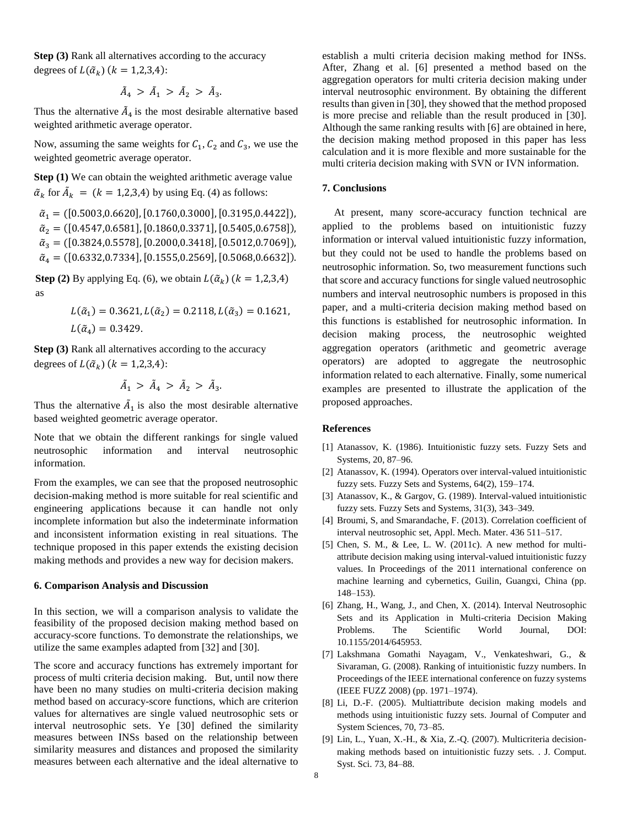**Step (3)** Rank all alternatives according to the accuracy degrees of  $L(\tilde{\alpha}_k)$  ( $k = 1,2,3,4$ ):

$$
\tilde{A}_4 \, > \, \tilde{A}_1 \, > \, \tilde{A}_2 \, > \, \tilde{A}_3.
$$

Thus the alternative  $\tilde{A}_4$  is the most desirable alternative based weighted arithmetic average operator.

Now, assuming the same weights for  $C_1$ ,  $C_2$  and  $C_3$ , we use the weighted geometric average operator.

**Step (1)** We can obtain the weighted arithmetic average value  $\tilde{\alpha}_k$  for  $\tilde{A}_k = (k = 1,2,3,4)$  by using Eq. (4) as follows:

 $\tilde{\alpha}_1 = ( [0.5003, 0.6620], [0.1760, 0.3000], [0.3195, 0.4422]),$  $\tilde{\alpha}_2 = ([0.4547, 0.6581], [0.1860, 0.3371], [0.5405, 0.6758]),$  $\tilde{\alpha}_3 = ([0.3824, 0.5578], [0.2000, 0.3418], [0.5012, 0.7069]),$  $\tilde{\alpha}_4 = ([0.6332, 0.7334], [0.1555, 0.2569], [0.5068, 0.6632]).$ 

**Step (2)** By applying Eq. (6), we obtain  $L(\tilde{\alpha}_k)$  ( $k = 1,2,3,4$ ) as

$$
L(\tilde{\alpha}_1) = 0.3621, L(\tilde{\alpha}_2) = 0.2118, L(\tilde{\alpha}_3) = 0.1621,
$$
  

$$
L(\tilde{\alpha}_4) = 0.3429.
$$

**Step (3)** Rank all alternatives according to the accuracy degrees of  $L(\tilde{\alpha}_k)$  ( $k = 1,2,3,4$ ):

$$
\tilde{A}_1 > \tilde{A}_4 > \tilde{A}_2 > \tilde{A}_3.
$$

Thus the alternative  $\tilde{A}_1$  is also the most desirable alternative based weighted geometric average operator.

Note that we obtain the different rankings for single valued neutrosophic information and interval neutrosophic information.

From the examples, we can see that the proposed neutrosophic decision-making method is more suitable for real scientific and engineering applications because it can handle not only incomplete information but also the indeterminate information and inconsistent information existing in real situations. The technique proposed in this paper extends the existing decision making methods and provides a new way for decision makers.

#### **6. Comparison Analysis and Discussion**

In this section, we will a comparison analysis to validate the feasibility of the proposed decision making method based on accuracy-score functions. To demonstrate the relationships, we utilize the same examples adapted from [32] and [30].

The score and accuracy functions has extremely important for process of multi criteria decision making. But, until now there have been no many studies on multi-criteria decision making method based on accuracy-score functions, which are criterion values for alternatives are single valued neutrosophic sets or interval neutrosophic sets. Ye [30] defined the similarity measures between INSs based on the relationship between similarity measures and distances and proposed the similarity measures between each alternative and the ideal alternative to

establish a multi criteria decision making method for INSs. After, Zhang et al. [6] presented a method based on the aggregation operators for multi criteria decision making under interval neutrosophic environment. By obtaining the different results than given in [30], they showed that the method proposed is more precise and reliable than the result produced in [30]. Although the same ranking results with [6] are obtained in here, the decision making method proposed in this paper has less calculation and it is more flexible and more sustainable for the multi criteria decision making with SVN or IVN information.

# **7. Conclusions**

At present, many score-accuracy function technical are applied to the problems based on intuitionistic fuzzy information or interval valued intuitionistic fuzzy information, but they could not be used to handle the problems based on neutrosophic information. So, two measurement functions such that score and accuracy functions for single valued neutrosophic numbers and interval neutrosophic numbers is proposed in this paper, and a multi-criteria decision making method based on this functions is established for neutrosophic information. In decision making process, the neutrosophic weighted aggregation operators (arithmetic and geometric average operators) are adopted to aggregate the neutrosophic information related to each alternative. Finally, some numerical examples are presented to illustrate the application of the proposed approaches.

# **References**

- [1] Atanassov, K. (1986). Intuitionistic fuzzy sets. Fuzzy Sets and Systems, 20, 87–96.
- [2] Atanassov, K. (1994). Operators over interval-valued intuitionistic fuzzy sets. Fuzzy Sets and Systems, 64(2), 159–174.
- [3] Atanassov, K., & Gargov, G. (1989). Interval-valued intuitionistic fuzzy sets. Fuzzy Sets and Systems, 31(3), 343–349.
- [4] Broumi, S, and Smarandache, F. (2013). Correlation coefficient of interval neutrosophic set, Appl. Mech. Mater. 436 511–517.
- [5] Chen, S. M., & Lee, L. W. (2011c). A new method for multiattribute decision making using interval-valued intuitionistic fuzzy values. In Proceedings of the 2011 international conference on machine learning and cybernetics, Guilin, Guangxi, China (pp. 148–153).
- [6] Zhang, H., Wang, J., and Chen, X. (2014). Interval Neutrosophic Sets and its Application in Multi-criteria Decision Making Problems. The Scientific World Journal, DOI: 10.1155/2014/645953.
- [7] Lakshmana Gomathi Nayagam, V., Venkateshwari, G., & Sivaraman, G. (2008). Ranking of intuitionistic fuzzy numbers. In Proceedings of the IEEE international conference on fuzzy systems (IEEE FUZZ 2008) (pp. 1971–1974).
- [8] Li, D.-F. (2005). Multiattribute decision making models and methods using intuitionistic fuzzy sets. Journal of Computer and System Sciences, 70, 73–85.
- [9] Lin, L., Yuan, X.-H., & Xia, Z.-Q. (2007). Multicriteria decisionmaking methods based on intuitionistic fuzzy sets. . J. Comput. Syst. Sci. 73, 84–88.